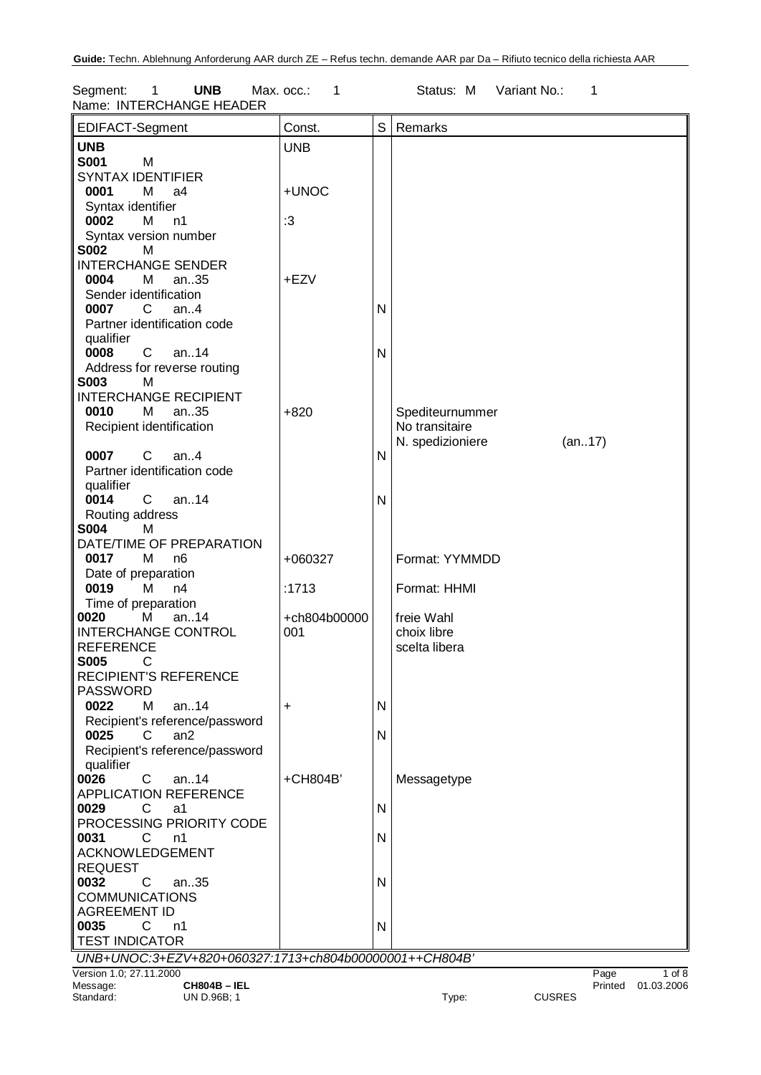Segment: 1 **UNB** Max. occ.: 1 Status: M Variant No.: 1 Name: INTERCHANGE HEADER

| EDIFACT-Segment                                          | Const.       | S            | Remarks          |               |        |                    |
|----------------------------------------------------------|--------------|--------------|------------------|---------------|--------|--------------------|
| <b>UNB</b>                                               | <b>UNB</b>   |              |                  |               |        |                    |
| <b>S001</b><br>M                                         |              |              |                  |               |        |                    |
| <b>SYNTAX IDENTIFIER</b>                                 |              |              |                  |               |        |                    |
| 0001<br>М<br>a4                                          | +UNOC        |              |                  |               |        |                    |
| Syntax identifier                                        |              |              |                  |               |        |                    |
| 0002<br>м<br>n1                                          | :3           |              |                  |               |        |                    |
| Syntax version number                                    |              |              |                  |               |        |                    |
| <b>S002</b><br>M                                         |              |              |                  |               |        |                    |
| <b>INTERCHANGE SENDER</b>                                |              |              |                  |               |        |                    |
| 0004<br>М<br>an35                                        | +EZV         |              |                  |               |        |                    |
| Sender identification<br>$\mathsf{C}$<br>0007<br>an. $4$ |              | N            |                  |               |        |                    |
| Partner identification code                              |              |              |                  |               |        |                    |
| qualifier                                                |              |              |                  |               |        |                    |
| 0008<br>$\mathsf{C}$<br>an14                             |              | N            |                  |               |        |                    |
| Address for reverse routing                              |              |              |                  |               |        |                    |
| <b>S003</b><br>м                                         |              |              |                  |               |        |                    |
| <b>INTERCHANGE RECIPIENT</b>                             |              |              |                  |               |        |                    |
| 0010<br>м<br>an35                                        | $+820$       |              | Spediteurnummer  |               |        |                    |
| Recipient identification                                 |              |              | No transitaire   |               |        |                    |
|                                                          |              |              | N. spedizioniere |               | (an17) |                    |
| 0007<br>$C$ an4                                          |              | N            |                  |               |        |                    |
| Partner identification code                              |              |              |                  |               |        |                    |
| qualifier                                                |              |              |                  |               |        |                    |
| 0014<br>$C$ an14                                         |              | $\mathsf{N}$ |                  |               |        |                    |
| Routing address                                          |              |              |                  |               |        |                    |
| <b>S004</b><br>M                                         |              |              |                  |               |        |                    |
| DATE/TIME OF PREPARATION                                 |              |              |                  |               |        |                    |
| 0017<br>М<br>n <sub>6</sub>                              | +060327      |              | Format: YYMMDD   |               |        |                    |
| Date of preparation                                      |              |              |                  |               |        |                    |
| 0019<br>М<br>n4                                          | :1713        |              | Format: HHMI     |               |        |                    |
| Time of preparation                                      |              |              |                  |               |        |                    |
| 0020<br>an14<br>М                                        | +ch804b00000 |              | freie Wahl       |               |        |                    |
| <b>INTERCHANGE CONTROL</b>                               | 001          |              | choix libre      |               |        |                    |
| <b>REFERENCE</b>                                         |              |              | scelta libera    |               |        |                    |
| <b>S005</b><br>C                                         |              |              |                  |               |        |                    |
| <b>RECIPIENT'S REFERENCE</b>                             |              |              |                  |               |        |                    |
| <b>PASSWORD</b>                                          |              |              |                  |               |        |                    |
| 0022<br>м<br>an14                                        | +            | $\mathsf{N}$ |                  |               |        |                    |
| Recipient's reference/password                           |              |              |                  |               |        |                    |
| 0025<br>C<br>an2                                         |              | N            |                  |               |        |                    |
| Recipient's reference/password                           |              |              |                  |               |        |                    |
| qualifier<br>0026<br>С<br>an14                           | +CH804B'     |              |                  |               |        |                    |
| <b>APPLICATION REFERENCE</b>                             |              |              | Messagetype      |               |        |                    |
| 0029<br>C<br>a1                                          |              | N            |                  |               |        |                    |
| PROCESSING PRIORITY CODE                                 |              |              |                  |               |        |                    |
| 0031<br>C<br>n1                                          |              | $\mathsf{N}$ |                  |               |        |                    |
| <b>ACKNOWLEDGEMENT</b>                                   |              |              |                  |               |        |                    |
| <b>REQUEST</b>                                           |              |              |                  |               |        |                    |
| 0032<br>C<br>an35                                        |              | $\mathsf{N}$ |                  |               |        |                    |
| <b>COMMUNICATIONS</b>                                    |              |              |                  |               |        |                    |
| <b>AGREEMENT ID</b>                                      |              |              |                  |               |        |                    |
| 0035<br>C<br>n1                                          |              | N            |                  |               |        |                    |
| <b>TEST INDICATOR</b>                                    |              |              |                  |               |        |                    |
| UNB+UNOC:3+EZV+820+060327:1713+ch804b00000001++CH804B'   |              |              |                  |               |        |                    |
| Version 1.0; 27.11.2000                                  |              |              |                  |               | Page   | $1$ of $8$         |
| Message:<br><b>CH804B-IEL</b>                            |              |              |                  |               |        | Printed 01.03.2006 |
| Standard:<br>UN D.96B; 1                                 |              |              | Type:            | <b>CUSRES</b> |        |                    |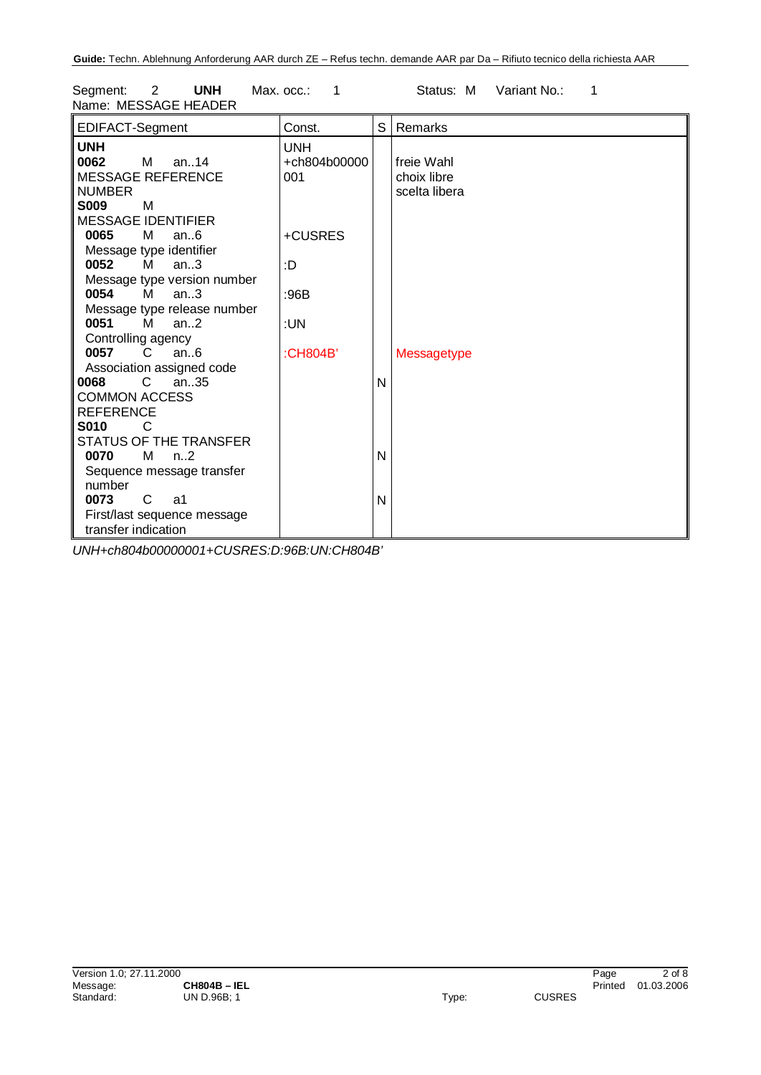Segment: 2 **UNH** Max. occ.: 1 Status: M Variant No.: 1 Name: MESSAGE HEADER

| EDIFACT-Segment               | Const.       | S | Remarks       |
|-------------------------------|--------------|---|---------------|
| <b>UNH</b>                    | <b>UNH</b>   |   |               |
| 0062<br>$M$ an. 14            | +ch804b00000 |   | freie Wahl    |
| MESSAGE REFERENCE             | 001          |   | choix libre   |
| <b>NUMBER</b>                 |              |   | scelta libera |
| <b>S009</b><br>M              |              |   |               |
| <b>MESSAGE IDENTIFIER</b>     |              |   |               |
| 0065<br>М<br>an.6             | +CUSRES      |   |               |
| Message type identifier       |              |   |               |
| 0052<br>M<br>an.3             | :D           |   |               |
| Message type version number   |              |   |               |
| 0054<br>M<br>an.3             | :96B         |   |               |
| Message type release number   |              |   |               |
| 0051<br>м<br>an $.2$          | :UN          |   |               |
| Controlling agency            |              |   |               |
| 0057<br>C<br>an.6             | :CH804B'     |   | Messagetype   |
| Association assigned code     |              |   |               |
| C.<br>an35<br>0068            |              | N |               |
| <b>COMMON ACCESS</b>          |              |   |               |
| <b>REFERENCE</b>              |              |   |               |
| <b>S010</b><br>C              |              |   |               |
| STATUS OF THE TRANSFER        |              |   |               |
| M<br>0070<br>n <sub>1</sub> 2 |              | N |               |
|                               |              |   |               |
| Sequence message transfer     |              |   |               |
| number                        |              |   |               |
| 0073<br>C<br>a1               |              | N |               |
| First/last sequence message   |              |   |               |
| transfer indication           |              |   |               |

*UNH+ch804b00000001+CUSRES:D:96B:UN:CH804B'*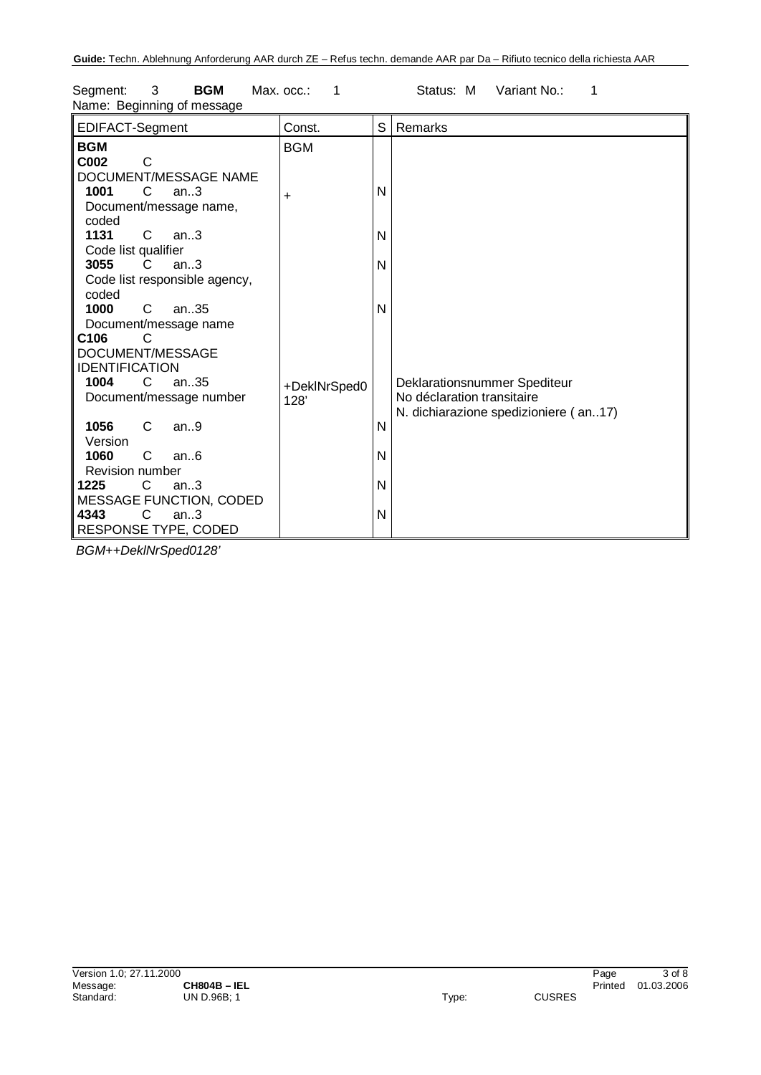| EDIFACT-Segment                                                                   | Const.               | S            | Remarks                                                    |
|-----------------------------------------------------------------------------------|----------------------|--------------|------------------------------------------------------------|
| <b>BGM</b><br>C002<br>C                                                           | <b>BGM</b>           |              |                                                            |
| DOCUMENT/MESSAGE NAME<br>1001<br>C<br>an.3<br>Document/message name,              | ÷.                   | N            |                                                            |
| coded<br>1131<br>C.<br>an.3                                                       |                      | $\mathsf{N}$ |                                                            |
| Code list qualifier<br>3055<br>an.3<br>C.<br>Code list responsible agency,        |                      | N            |                                                            |
| coded<br>1000<br>C<br>an35                                                        |                      | N            |                                                            |
| Document/message name<br>C <sub>106</sub><br>DOCUMENT/MESSAGE                     |                      |              |                                                            |
| <b>IDENTIFICATION</b><br>$\mathbf{C}$<br>an.35<br>1004<br>Document/message number | +DeklNrSped0<br>128' |              | Deklarationsnummer Spediteur<br>No déclaration transitaire |
| 1056<br>C<br>an.9<br>Version                                                      |                      | N            | N. dichiarazione spedizioniere (an17)                      |
| 1060<br>C<br>an.6<br><b>Revision number</b>                                       |                      | N            |                                                            |
| 1225<br>C<br>an.3<br>MESSAGE FUNCTION, CODED                                      |                      | $\mathsf{N}$ |                                                            |
| 4343<br>C<br>an.3<br>RESPONSE TYPE, CODED                                         |                      | N            |                                                            |

Segment: 3 **BGM** Max. occ.: 1 Status: M Variant No.: 1 Name: Beginning of message

*BGM++DeklNrSped0128'*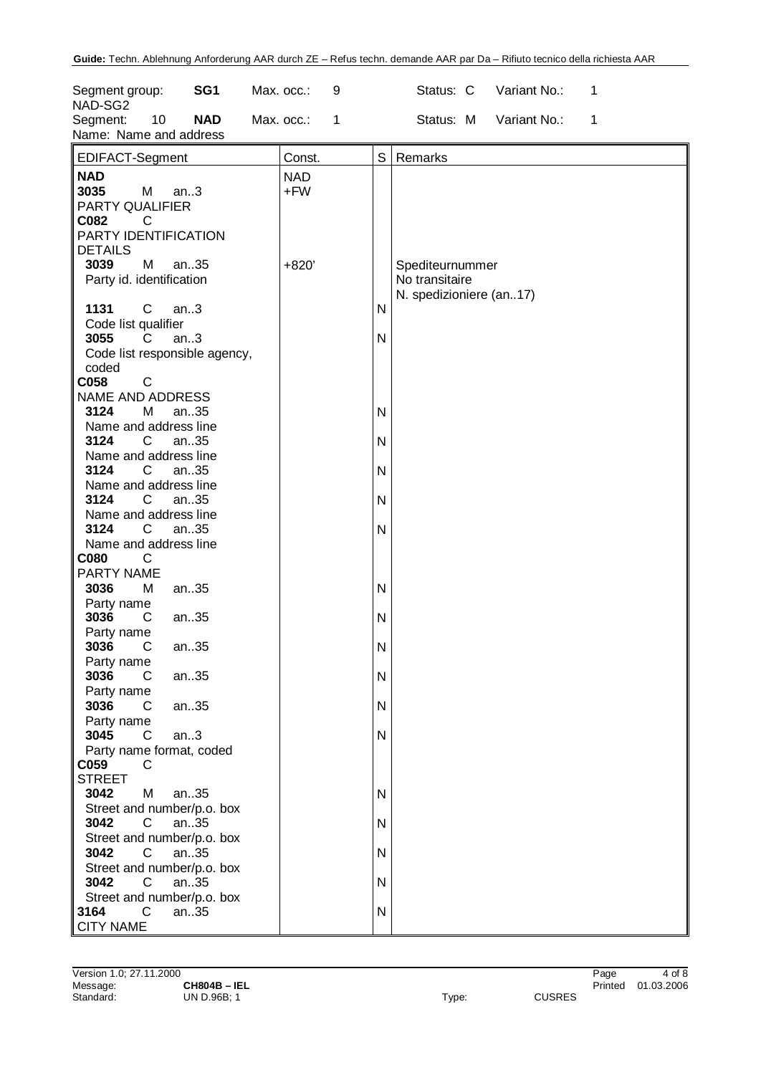| Segment group:<br>NAD-SG2<br>Segment:                                           | 10   | SG <sub>1</sub><br><b>NAD</b> | Max. occ.:<br>Max. occ.: | 9<br>1 |                              | Status: C<br>Status: M                                       | Variant No.:<br>Variant No.: | 1<br>1 |  |
|---------------------------------------------------------------------------------|------|-------------------------------|--------------------------|--------|------------------------------|--------------------------------------------------------------|------------------------------|--------|--|
| Name: Name and address                                                          |      |                               |                          |        |                              |                                                              |                              |        |  |
| EDIFACT-Segment                                                                 |      |                               | Const.                   |        | S                            | Remarks                                                      |                              |        |  |
| <b>NAD</b><br>3035<br>M<br>PARTY QUALIFIER<br>C082<br>C<br>PARTY IDENTIFICATION | an.3 |                               | <b>NAD</b><br>$+FW$      |        |                              |                                                              |                              |        |  |
| <b>DETAILS</b><br>M<br>3039<br>Party id. identification                         |      | an35                          | $+820'$                  |        |                              | Spediteurnummer<br>No transitaire<br>N. spedizioniere (an17) |                              |        |  |
| 1131<br>C<br>Code list qualifier                                                | an.3 |                               |                          |        | $\mathsf{N}$                 |                                                              |                              |        |  |
| 3055<br>C<br>Code list responsible agency,<br>coded                             | an.3 |                               |                          |        | $\mathsf{N}$                 |                                                              |                              |        |  |
| C058<br>C<br>NAME AND ADDRESS                                                   |      |                               |                          |        |                              |                                                              |                              |        |  |
| 3124<br>М<br>Name and address line<br>3124<br>$\mathsf{C}$                      |      | an35<br>an35                  |                          |        | $\mathsf{N}$<br>$\mathsf{N}$ |                                                              |                              |        |  |
| Name and address line<br>3124<br>C                                              |      | an35                          |                          |        | N                            |                                                              |                              |        |  |
| Name and address line<br>3124<br>C                                              |      | an35                          |                          |        | $\mathsf{N}$                 |                                                              |                              |        |  |
| Name and address line<br>C<br>3124<br>Name and address line                     |      | an35                          |                          |        | N                            |                                                              |                              |        |  |
| <b>C080</b><br>C<br>PARTY NAME<br>3036<br>М                                     |      |                               |                          |        | $\mathsf{N}$                 |                                                              |                              |        |  |
| Party name<br>3036<br>С                                                         |      | an35<br>an35                  |                          |        | $\mathsf{N}$                 |                                                              |                              |        |  |
| Party name<br>3036<br>С                                                         |      | an35                          |                          |        | ${\sf N}$                    |                                                              |                              |        |  |
| Party name<br>3036<br>C<br>Party name                                           |      | an35                          |                          |        | ${\sf N}$                    |                                                              |                              |        |  |
| 3036<br>C<br>Party name                                                         |      | an35                          |                          |        | $\mathsf{N}$                 |                                                              |                              |        |  |
| 3045<br>C<br>Party name format, coded<br>C059<br>C                              | an.3 |                               |                          |        | $\mathsf{N}$                 |                                                              |                              |        |  |
| <b>STREET</b><br>3042<br>M                                                      |      | an35                          |                          |        | $\mathsf{N}$                 |                                                              |                              |        |  |
| Street and number/p.o. box<br>3042<br>C.                                        |      | an35                          |                          |        | N                            |                                                              |                              |        |  |
| Street and number/p.o. box<br>3042<br>C<br>Street and number/p.o. box           |      | an35                          |                          |        | ${\sf N}$                    |                                                              |                              |        |  |
| 3042<br>C<br>Street and number/p.o. box                                         |      | an35                          |                          |        | $\mathsf{N}$                 |                                                              |                              |        |  |
| $\mathsf{C}$<br>3164<br><b>CITY NAME</b>                                        |      | an35                          |                          |        | $\mathsf{N}$                 |                                                              |                              |        |  |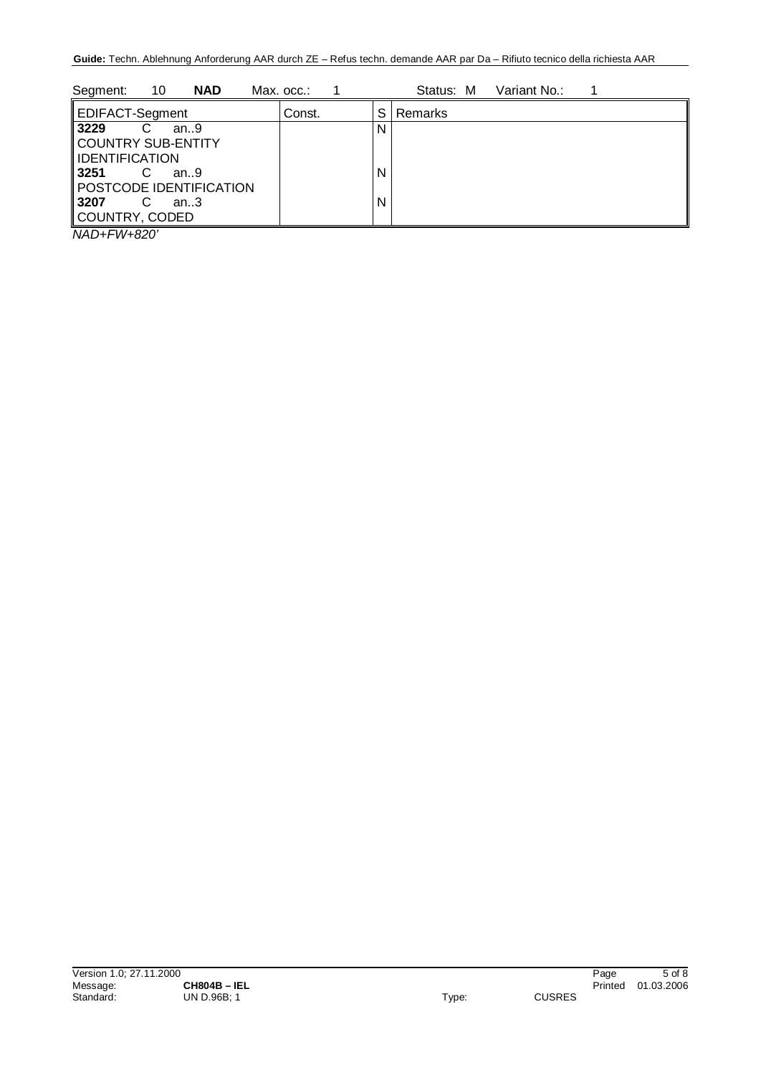| 10<br>Segment:<br><b>NAD</b>   | Max. occ.: |   | Variant No.:<br>Status: M |
|--------------------------------|------------|---|---------------------------|
| <b>EDIFACT-Segment</b>         | Const.     | S | Remarks                   |
| 3229<br>an.9                   |            | N |                           |
| COUNTRY SUB-ENTITY             |            |   |                           |
| IDENTIFICATION<br>3251<br>an.9 |            | N |                           |
| POSTCODE IDENTIFICATION        |            |   |                           |
| 3207<br>an $3$                 |            | N |                           |
| COUNTRY, CODED<br>.            |            |   |                           |

*NAD+FW+820'*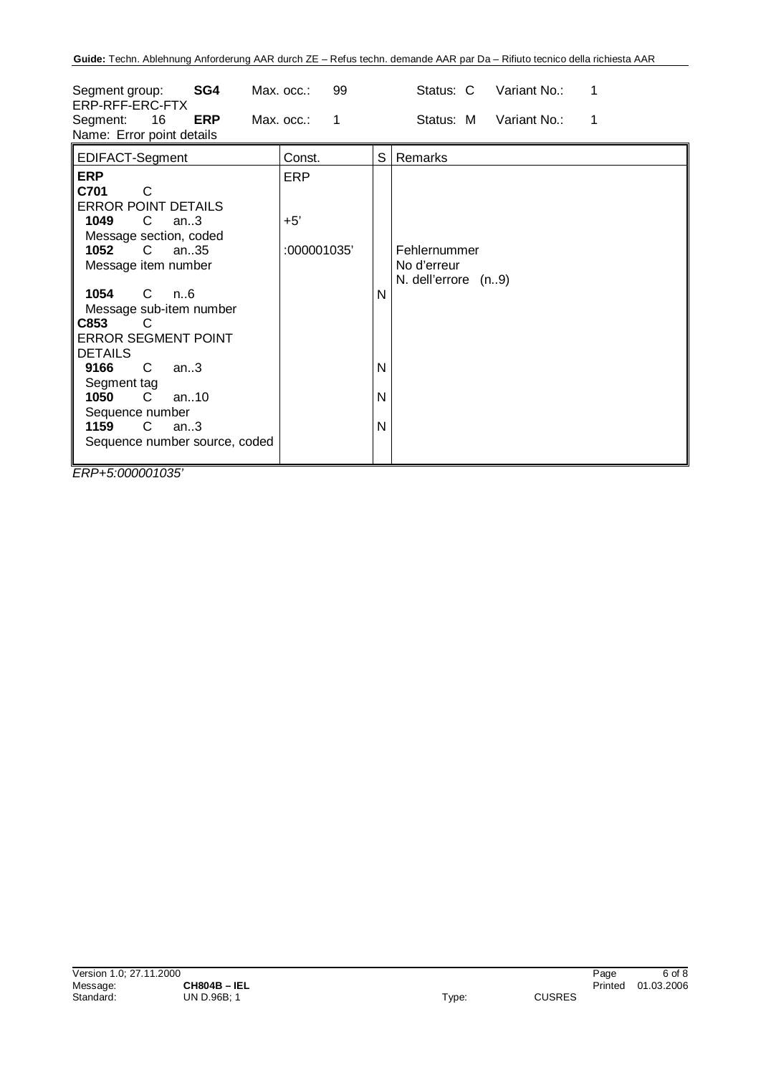| SG4<br>Segment group:<br>ERP-RFF-ERC-FTX<br>16<br><b>ERP</b><br>Segment:<br>Name: Error point details                                                                                                                                                                                                                                                                                                                                | Max. occ.:<br>99<br>$Max.$ $occ.$ :<br>$\mathbf 1$ | Status: C<br>Variant No.:<br>1<br>Status: M<br>Variant No.:<br>1       |
|--------------------------------------------------------------------------------------------------------------------------------------------------------------------------------------------------------------------------------------------------------------------------------------------------------------------------------------------------------------------------------------------------------------------------------------|----------------------------------------------------|------------------------------------------------------------------------|
| EDIFACT-Segment                                                                                                                                                                                                                                                                                                                                                                                                                      | Const.                                             | S<br>Remarks                                                           |
| <b>ERP</b><br>C701<br>C<br><b>ERROR POINT DETAILS</b><br>$\mathsf{C}$<br>1049<br>an $3$<br>Message section, coded<br>1052<br>$\mathsf{C}$<br>an35<br>Message item number<br>1054<br>C.<br>n6<br>Message sub-item number<br>C853<br>C.<br><b>ERROR SEGMENT POINT</b><br><b>DETAILS</b><br>9166<br>C<br>an.3<br>Segment tag<br>$\mathsf{C}$<br>1050<br>an $.10$<br>Sequence number<br>1159<br>$C$ an3<br>Sequence number source, coded | <b>ERP</b><br>$+5'$<br>:000001035'                 | Fehlernummer<br>No d'erreur<br>N. dell'errore (n9)<br>N<br>N<br>N<br>N |

*ERP+5:000001035'*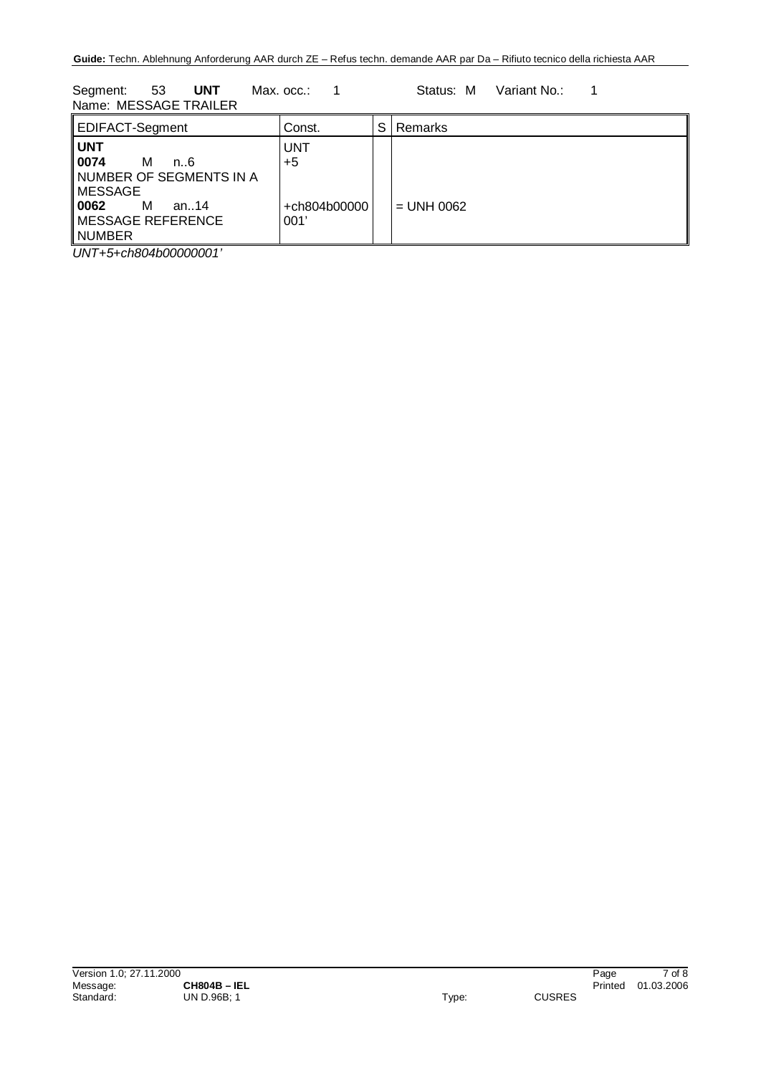Segment: 53 **UNT** Max. occ.: 1 Status: M Variant No.: 1 Name: MESSAGE TRAILER

| EDIFACT-Segment                                                                                                                     | Const.                                     | S | Remarks      |
|-------------------------------------------------------------------------------------------------------------------------------------|--------------------------------------------|---|--------------|
| ∥ UNT<br>0074<br>м<br>n. 6<br>NUMBER OF SEGMENTS IN A<br>MESSAGE<br>  0062<br>М<br>an14<br>$\parallel$ MESSAGE REFERENCE<br>∥NUMBER | <b>UNT</b><br>$+5$<br>+ch804b00000<br>001' |   | $=$ UNH 0062 |
| $\cdots$<br>1.0011.0000000011                                                                                                       |                                            |   |              |

*UNT+5+ch804b00000001'*